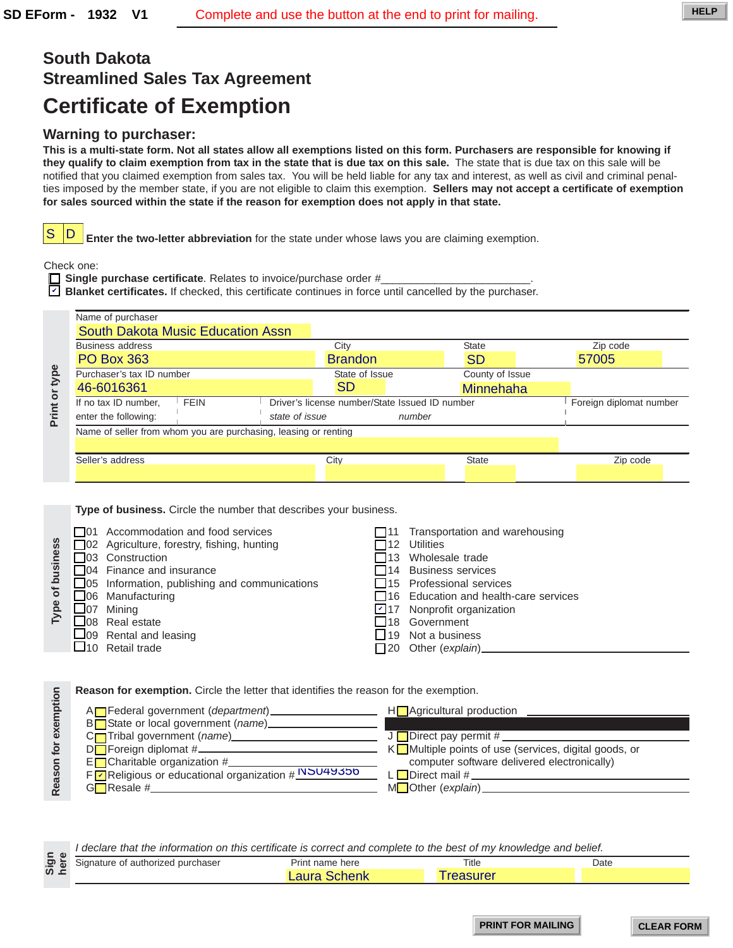# **South Dakota Streamlined Sales Tax Agreement Certificate of Exemption**

## **Warning to purchaser:**

|                      | <b>Streamlined Sales Tax Agreement</b>                                                                                                                                                                                                                                                                                                                                                                                                                                                                                                                                                                                                                                                                                                                                                                                                                                                   |                                                |                                                                                                                                                                                                                                                                                                          |                         |
|----------------------|------------------------------------------------------------------------------------------------------------------------------------------------------------------------------------------------------------------------------------------------------------------------------------------------------------------------------------------------------------------------------------------------------------------------------------------------------------------------------------------------------------------------------------------------------------------------------------------------------------------------------------------------------------------------------------------------------------------------------------------------------------------------------------------------------------------------------------------------------------------------------------------|------------------------------------------------|----------------------------------------------------------------------------------------------------------------------------------------------------------------------------------------------------------------------------------------------------------------------------------------------------------|-------------------------|
|                      | <b>Certificate of Exemption</b>                                                                                                                                                                                                                                                                                                                                                                                                                                                                                                                                                                                                                                                                                                                                                                                                                                                          |                                                |                                                                                                                                                                                                                                                                                                          |                         |
| S                    | <b>Warning to purchaser:</b><br>This is a multi-state form. Not all states allow all exemptions listed on this form. Purchasers are responsible for knowing if<br>they qualify to claim exemption from tax in the state that is due tax on this sale. The state that is due tax on this sale will be<br>notified that you claimed exemption from sales tax. You will be held liable for any tax and interest, as well as civil and criminal penal-<br>ties imposed by the member state, if you are not eligible to claim this exemption. Sellers may not accept a certificate of exemption<br>for sales sourced within the state if the reason for exemption does not apply in that state.<br>D<br>Enter the two-letter abbreviation for the state under whose laws you are claiming exemption.<br>Check one:<br>$\Box$ Single purchase certificate. Relates to invoice/purchase order # |                                                |                                                                                                                                                                                                                                                                                                          |                         |
|                      | $\triangleright$ <b>Blanket certificates.</b> If checked, this certificate continues in force until cancelled by the purchaser.                                                                                                                                                                                                                                                                                                                                                                                                                                                                                                                                                                                                                                                                                                                                                          |                                                |                                                                                                                                                                                                                                                                                                          |                         |
|                      | Name of purchaser<br><b>South Dakota Music Education Assn</b>                                                                                                                                                                                                                                                                                                                                                                                                                                                                                                                                                                                                                                                                                                                                                                                                                            |                                                |                                                                                                                                                                                                                                                                                                          |                         |
|                      | Business address                                                                                                                                                                                                                                                                                                                                                                                                                                                                                                                                                                                                                                                                                                                                                                                                                                                                         | City                                           | <b>State</b>                                                                                                                                                                                                                                                                                             | Zip code                |
|                      | <b>PO Box 363</b>                                                                                                                                                                                                                                                                                                                                                                                                                                                                                                                                                                                                                                                                                                                                                                                                                                                                        | <b>Brandon</b>                                 | <b>SD</b>                                                                                                                                                                                                                                                                                                | 57005                   |
| Print or type        | Purchaser's tax ID number<br>46-6016361                                                                                                                                                                                                                                                                                                                                                                                                                                                                                                                                                                                                                                                                                                                                                                                                                                                  | State of Issue<br><b>SD</b>                    | County of Issue<br>Minnehaha                                                                                                                                                                                                                                                                             |                         |
|                      | If no tax ID number,<br><b>FEIN</b>                                                                                                                                                                                                                                                                                                                                                                                                                                                                                                                                                                                                                                                                                                                                                                                                                                                      | Driver's license number/State Issued ID number |                                                                                                                                                                                                                                                                                                          | Foreign diplomat number |
|                      | enter the following:<br>state of issue                                                                                                                                                                                                                                                                                                                                                                                                                                                                                                                                                                                                                                                                                                                                                                                                                                                   |                                                | number                                                                                                                                                                                                                                                                                                   |                         |
|                      | Name of seller from whom you are purchasing, leasing or renting                                                                                                                                                                                                                                                                                                                                                                                                                                                                                                                                                                                                                                                                                                                                                                                                                          |                                                |                                                                                                                                                                                                                                                                                                          |                         |
|                      | Seller's address                                                                                                                                                                                                                                                                                                                                                                                                                                                                                                                                                                                                                                                                                                                                                                                                                                                                         | City                                           | State                                                                                                                                                                                                                                                                                                    | Zip code                |
|                      |                                                                                                                                                                                                                                                                                                                                                                                                                                                                                                                                                                                                                                                                                                                                                                                                                                                                                          |                                                |                                                                                                                                                                                                                                                                                                          |                         |
| Type of business     | □ 01 Accommodation and food services<br>□ 02 Agriculture, forestry, fishing, hunting<br>□03 Construction<br>$\Box$ 04 Finance and insurance<br>□05 Information, publishing and communications<br>06 Manufacturing<br>$\Box$ 07 Mining<br>$\Box$ 08 Real estate<br>$\Box$ 09 Rental and leasing<br>$\Box$ 10 Retail trade                                                                                                                                                                                                                                                                                                                                                                                                                                                                                                                                                                 |                                                | $\Box$ 11 Transportation and warehousing<br>$\square$ 12 Utilities<br>$\Box$ 13 Wholesale trade<br>□ 14 Business services<br>$\Box$ 15 Professional services<br>$\Box$ 16 Education and health-care services<br>$\triangleright$ 17 Nonprofit organization<br>□18 Government<br>$\Box$ 19 Not a business |                         |
| Reason for exemption | Reason for exemption. Circle the letter that identifies the reason for the exemption.<br>B□State or local government (name)<br>C□Tribal government (name)<br>C□Tribal government (name)<br>Encharitable organization #<br>Figure Religious or educational organization #NSU4Y350 Louis Computer software delivered electronically)                                                                                                                                                                                                                                                                                                                                                                                                                                                                                                                                                       |                                                |                                                                                                                                                                                                                                                                                                          |                         |
|                      |                                                                                                                                                                                                                                                                                                                                                                                                                                                                                                                                                                                                                                                                                                                                                                                                                                                                                          |                                                |                                                                                                                                                                                                                                                                                                          |                         |

| usiness<br>of bi<br>Type | $\Box$ 01 Accommodation and food services<br>□ 02 Agriculture, forestry, fishing, hunting<br>$\Box$ 03 Construction<br>$\Box$ 04 Finance and insurance<br>$\Box$ 05 Information, publishing and communications<br>$\Box$ 06 Manufacturing<br>$\Box$ 07 Mining<br>$\Box$ 08 Real estate<br>$\Box$ 09 Rental and leasing<br>$\Box$ 10 Retail trade | Transportation and warehousing<br>112 Utilities<br>$\Box$ 13 Wholesale trade<br>$\Box$ 14 Business services<br>$\Box$ 15 Professional services<br>$\Box$ 16 Education and health-care services<br>$\triangleright$ 17 Nonprofit organization<br>18 Government<br>$\Box$ 19 Not a business<br>$\Box$ 20 Other (explain)_ |
|--------------------------|--------------------------------------------------------------------------------------------------------------------------------------------------------------------------------------------------------------------------------------------------------------------------------------------------------------------------------------------------|-------------------------------------------------------------------------------------------------------------------------------------------------------------------------------------------------------------------------------------------------------------------------------------------------------------------------|
|                          |                                                                                                                                                                                                                                                                                                                                                  |                                                                                                                                                                                                                                                                                                                         |

| A <sub>n</sub> Federal government ( <i>department</i> ) | $H$ Agricultural production                                   |
|---------------------------------------------------------|---------------------------------------------------------------|
| BUState or local government (name)                      |                                                               |
| C <sub>l</sub> Tribal government (name)_____            | $J$ Direct pay permit # _____                                 |
|                                                         | K <b></b> Multiple points of use (services, digital goods, or |
| $E$ Charitable organization #                           | computer software delivered electronically)                   |
| F P Religious or educational organization # NSU4Y350    | L Direct mail #                                               |
| $G$ Resale #                                            | MOther (explain)_                                             |
|                                                         |                                                               |

| CD.                                                                                            |       |      |  |
|------------------------------------------------------------------------------------------------|-------|------|--|
| ►<br>a פ<br>d purchaser<br>Print<br>name here<br><sup>+</sup> authorizeo<br>Signature of<br>n, | Title | Date |  |
| ທ ⊥<br>. .<br>.                                                                                |       |      |  |